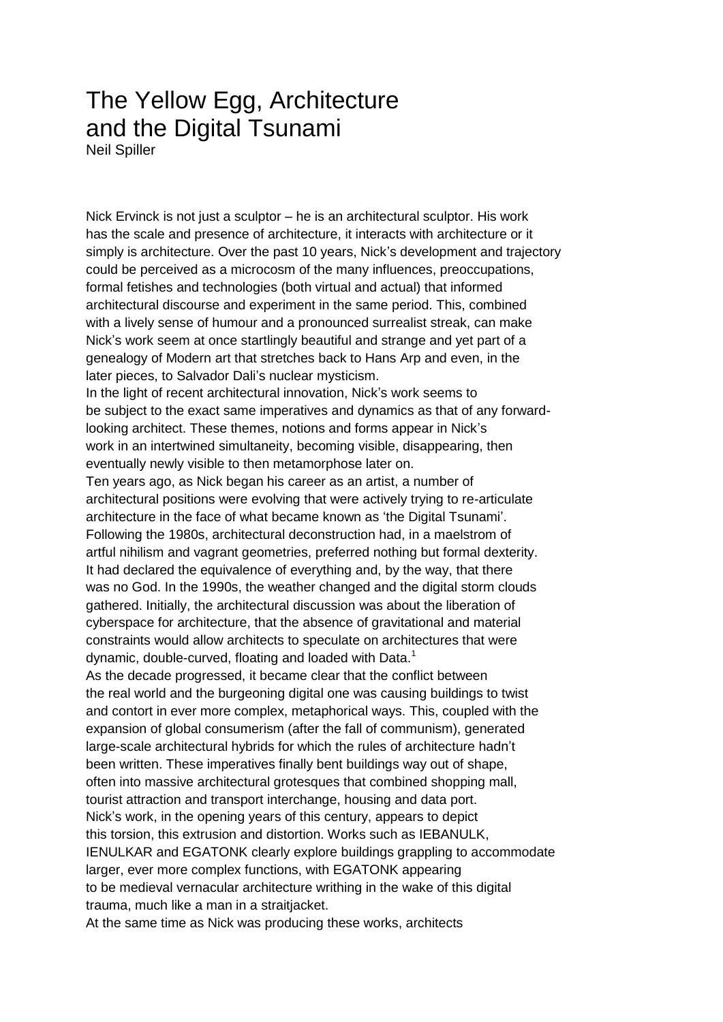## The Yellow Egg, Architecture and the Digital Tsunami

Neil Spiller

Nick Ervinck is not just a sculptor – he is an architectural sculptor. His work has the scale and presence of architecture, it interacts with architecture or it simply is architecture. Over the past 10 years, Nick's development and trajectory could be perceived as a microcosm of the many influences, preoccupations, formal fetishes and technologies (both virtual and actual) that informed architectural discourse and experiment in the same period. This, combined with a lively sense of humour and a pronounced surrealist streak, can make Nick's work seem at once startlingly beautiful and strange and yet part of a genealogy of Modern art that stretches back to Hans Arp and even, in the later pieces, to Salvador Dali's nuclear mysticism.

In the light of recent architectural innovation, Nick's work seems to be subject to the exact same imperatives and dynamics as that of any forwardlooking architect. These themes, notions and forms appear in Nick's work in an intertwined simultaneity, becoming visible, disappearing, then eventually newly visible to then metamorphose later on.

Ten years ago, as Nick began his career as an artist, a number of architectural positions were evolving that were actively trying to re-articulate architecture in the face of what became known as 'the Digital Tsunami'. Following the 1980s, architectural deconstruction had, in a maelstrom of artful nihilism and vagrant geometries, preferred nothing but formal dexterity. It had declared the equivalence of everything and, by the way, that there was no God. In the 1990s, the weather changed and the digital storm clouds gathered. Initially, the architectural discussion was about the liberation of cyberspace for architecture, that the absence of gravitational and material constraints would allow architects to speculate on architectures that were dynamic, double-curved, floating and loaded with Data.<sup>1</sup>

As the decade progressed, it became clear that the conflict between the real world and the burgeoning digital one was causing buildings to twist and contort in ever more complex, metaphorical ways. This, coupled with the expansion of global consumerism (after the fall of communism), generated large-scale architectural hybrids for which the rules of architecture hadn't been written. These imperatives finally bent buildings way out of shape, often into massive architectural grotesques that combined shopping mall, tourist attraction and transport interchange, housing and data port. Nick's work, in the opening years of this century, appears to depict this torsion, this extrusion and distortion. Works such as IEBANULK, IENULKAR and EGATONK clearly explore buildings grappling to accommodate larger, ever more complex functions, with EGATONK appearing to be medieval vernacular architecture writhing in the wake of this digital trauma, much like a man in a straitjacket.

At the same time as Nick was producing these works, architects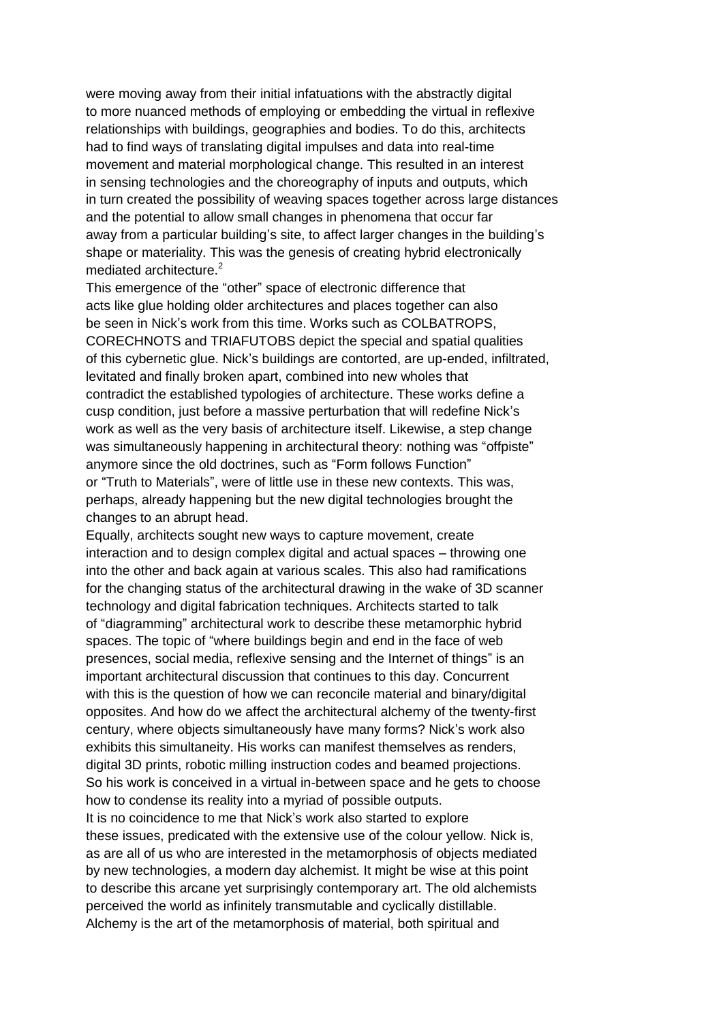were moving away from their initial infatuations with the abstractly digital to more nuanced methods of employing or embedding the virtual in reflexive relationships with buildings, geographies and bodies. To do this, architects had to find ways of translating digital impulses and data into real-time movement and material morphological change. This resulted in an interest in sensing technologies and the choreography of inputs and outputs, which in turn created the possibility of weaving spaces together across large distances and the potential to allow small changes in phenomena that occur far away from a particular building's site, to affect larger changes in the building's shape or materiality. This was the genesis of creating hybrid electronically mediated architecture.<sup>2</sup>

This emergence of the "other" space of electronic difference that acts like glue holding older architectures and places together can also be seen in Nick's work from this time. Works such as COLBATROPS, CORECHNOTS and TRIAFUTOBS depict the special and spatial qualities of this cybernetic glue. Nick's buildings are contorted, are up-ended, infiltrated, levitated and finally broken apart, combined into new wholes that contradict the established typologies of architecture. These works define a cusp condition, just before a massive perturbation that will redefine Nick's work as well as the very basis of architecture itself. Likewise, a step change was simultaneously happening in architectural theory: nothing was "offpiste" anymore since the old doctrines, such as "Form follows Function" or "Truth to Materials", were of little use in these new contexts. This was, perhaps, already happening but the new digital technologies brought the changes to an abrupt head.

Equally, architects sought new ways to capture movement, create interaction and to design complex digital and actual spaces – throwing one into the other and back again at various scales. This also had ramifications for the changing status of the architectural drawing in the wake of 3D scanner technology and digital fabrication techniques. Architects started to talk of "diagramming" architectural work to describe these metamorphic hybrid spaces. The topic of "where buildings begin and end in the face of web presences, social media, reflexive sensing and the Internet of things" is an important architectural discussion that continues to this day. Concurrent with this is the question of how we can reconcile material and binary/digital opposites. And how do we affect the architectural alchemy of the twenty-first century, where objects simultaneously have many forms? Nick's work also exhibits this simultaneity. His works can manifest themselves as renders, digital 3D prints, robotic milling instruction codes and beamed projections. So his work is conceived in a virtual in-between space and he gets to choose how to condense its reality into a myriad of possible outputs. It is no coincidence to me that Nick's work also started to explore these issues, predicated with the extensive use of the colour yellow. Nick is, as are all of us who are interested in the metamorphosis of objects mediated by new technologies, a modern day alchemist. It might be wise at this point to describe this arcane yet surprisingly contemporary art. The old alchemists

perceived the world as infinitely transmutable and cyclically distillable. Alchemy is the art of the metamorphosis of material, both spiritual and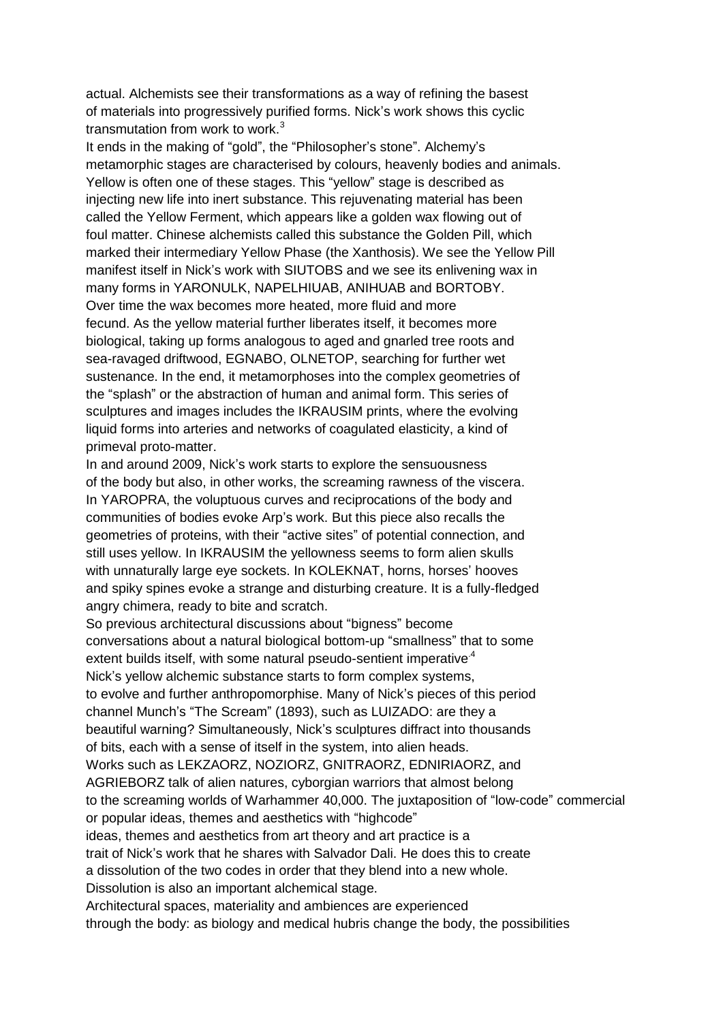actual. Alchemists see their transformations as a way of refining the basest of materials into progressively purified forms. Nick's work shows this cyclic transmutation from work to work. $3$ 

It ends in the making of "gold", the "Philosopher's stone". Alchemy's metamorphic stages are characterised by colours, heavenly bodies and animals. Yellow is often one of these stages. This "yellow" stage is described as injecting new life into inert substance. This rejuvenating material has been called the Yellow Ferment, which appears like a golden wax flowing out of foul matter. Chinese alchemists called this substance the Golden Pill, which marked their intermediary Yellow Phase (the Xanthosis). We see the Yellow Pill manifest itself in Nick's work with SIUTOBS and we see its enlivening wax in many forms in YARONULK, NAPELHIUAB, ANIHUAB and BORTOBY. Over time the wax becomes more heated, more fluid and more fecund. As the yellow material further liberates itself, it becomes more biological, taking up forms analogous to aged and gnarled tree roots and sea-ravaged driftwood, EGNABO, OLNETOP, searching for further wet sustenance. In the end, it metamorphoses into the complex geometries of the "splash" or the abstraction of human and animal form. This series of sculptures and images includes the IKRAUSIM prints, where the evolving liquid forms into arteries and networks of coagulated elasticity, a kind of primeval proto-matter.

In and around 2009, Nick's work starts to explore the sensuousness of the body but also, in other works, the screaming rawness of the viscera. In YAROPRA, the voluptuous curves and reciprocations of the body and communities of bodies evoke Arp's work. But this piece also recalls the geometries of proteins, with their "active sites" of potential connection, and still uses yellow. In IKRAUSIM the yellowness seems to form alien skulls with unnaturally large eye sockets. In KOLEKNAT, horns, horses' hooves and spiky spines evoke a strange and disturbing creature. It is a fully-fledged angry chimera, ready to bite and scratch.

So previous architectural discussions about "bigness" become conversations about a natural biological bottom-up "smallness" that to some extent builds itself, with some natural pseudo-sentient imperative<sup>4</sup> Nick's yellow alchemic substance starts to form complex systems, to evolve and further anthropomorphise. Many of Nick's pieces of this period channel Munch's "The Scream" (1893), such as LUIZADO: are they a beautiful warning? Simultaneously, Nick's sculptures diffract into thousands of bits, each with a sense of itself in the system, into alien heads. Works such as LEKZAORZ, NOZIORZ, GNITRAORZ, EDNIRIAORZ, and AGRIEBORZ talk of alien natures, cyborgian warriors that almost belong to the screaming worlds of Warhammer 40,000. The juxtaposition of "low-code" commercial or popular ideas, themes and aesthetics with "highcode" ideas, themes and aesthetics from art theory and art practice is a trait of Nick's work that he shares with Salvador Dali. He does this to create a dissolution of the two codes in order that they blend into a new whole. Dissolution is also an important alchemical stage. Architectural spaces, materiality and ambiences are experienced through the body: as biology and medical hubris change the body, the possibilities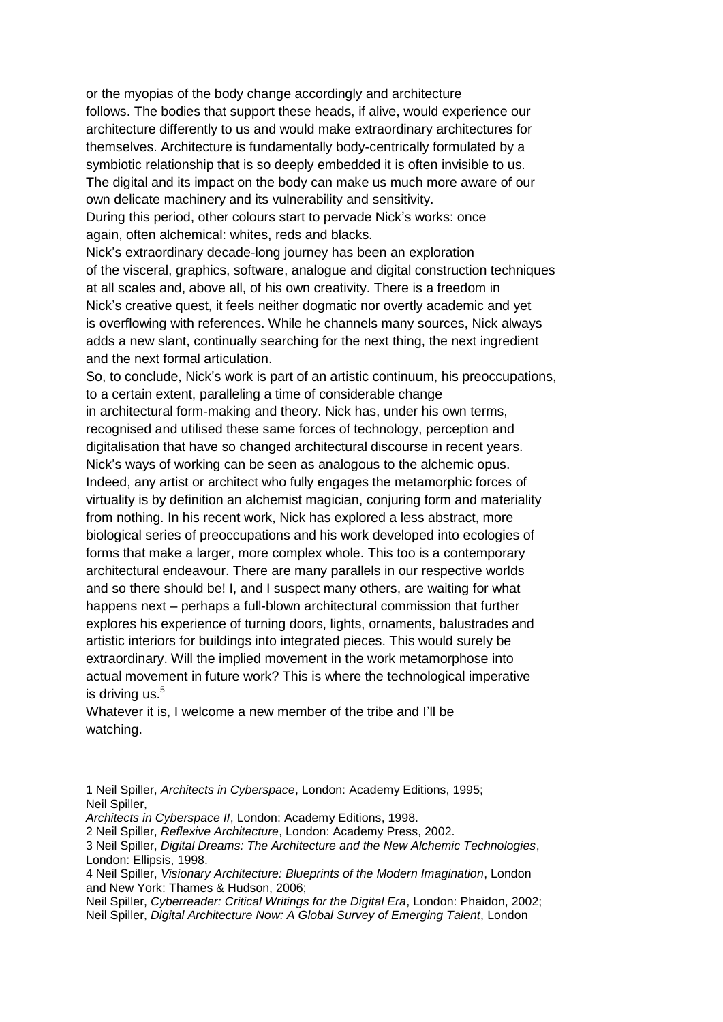or the myopias of the body change accordingly and architecture follows. The bodies that support these heads, if alive, would experience our architecture differently to us and would make extraordinary architectures for themselves. Architecture is fundamentally body-centrically formulated by a symbiotic relationship that is so deeply embedded it is often invisible to us. The digital and its impact on the body can make us much more aware of our own delicate machinery and its vulnerability and sensitivity. During this period, other colours start to pervade Nick's works: once again, often alchemical: whites, reds and blacks.

Nick's extraordinary decade-long journey has been an exploration of the visceral, graphics, software, analogue and digital construction techniques at all scales and, above all, of his own creativity. There is a freedom in Nick's creative quest, it feels neither dogmatic nor overtly academic and yet is overflowing with references. While he channels many sources, Nick always adds a new slant, continually searching for the next thing, the next ingredient and the next formal articulation.

So, to conclude, Nick's work is part of an artistic continuum, his preoccupations, to a certain extent, paralleling a time of considerable change in architectural form-making and theory. Nick has, under his own terms, recognised and utilised these same forces of technology, perception and digitalisation that have so changed architectural discourse in recent years. Nick's ways of working can be seen as analogous to the alchemic opus. Indeed, any artist or architect who fully engages the metamorphic forces of virtuality is by definition an alchemist magician, conjuring form and materiality from nothing. In his recent work, Nick has explored a less abstract, more biological series of preoccupations and his work developed into ecologies of forms that make a larger, more complex whole. This too is a contemporary architectural endeavour. There are many parallels in our respective worlds and so there should be! I, and I suspect many others, are waiting for what happens next – perhaps a full-blown architectural commission that further explores his experience of turning doors, lights, ornaments, balustrades and artistic interiors for buildings into integrated pieces. This would surely be extraordinary. Will the implied movement in the work metamorphose into actual movement in future work? This is where the technological imperative is driving us.<sup>5</sup>

Whatever it is, I welcome a new member of the tribe and I'll be watching.

*Architects in Cyberspace II*, London: Academy Editions, 1998.

<sup>1</sup> Neil Spiller, *Architects in Cyberspace*, London: Academy Editions, 1995; Neil Spiller,

<sup>2</sup> Neil Spiller, *Reflexive Architecture*, London: Academy Press, 2002.

<sup>3</sup> Neil Spiller, *Digital Dreams: The Architecture and the New Alchemic Technologies*, London: Ellipsis, 1998.

<sup>4</sup> Neil Spiller, *Visionary Architecture: Blueprints of the Modern Imagination*, London and New York: Thames & Hudson, 2006;

Neil Spiller, *Cyberreader: Critical Writings for the Digital Era*, London: Phaidon, 2002; Neil Spiller, *Digital Architecture Now: A Global Survey of Emerging Talent*, London